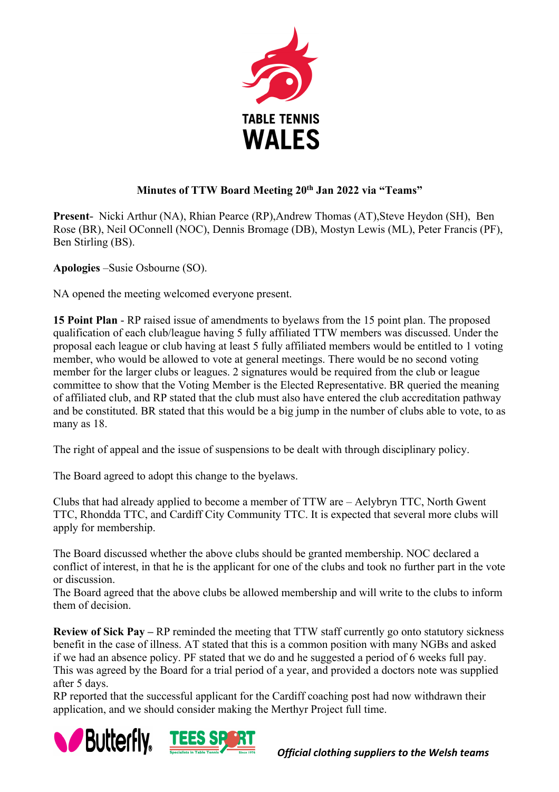

## **Minutes of TTW Board Meeting 20th Jan 2022 via "Teams"**

**Present-** Nicki Arthur (NA), Rhian Pearce (RP),Andrew Thomas (AT),Steve Heydon (SH), Ben Rose (BR), Neil OConnell (NOC), Dennis Bromage (DB), Mostyn Lewis (ML), Peter Francis (PF), Ben Stirling (BS).

**Apologies** –Susie Osbourne (SO).

NA opened the meeting welcomed everyone present.

**15 Point Plan** - RP raised issue of amendments to byelaws from the 15 point plan. The proposed qualification of each club/league having 5 fully affiliated TTW members was discussed. Under the proposal each league or club having at least 5 fully affiliated members would be entitled to 1 voting member, who would be allowed to vote at general meetings. There would be no second voting member for the larger clubs or leagues. 2 signatures would be required from the club or league committee to show that the Voting Member is the Elected Representative. BR queried the meaning of affiliated club, and RP stated that the club must also have entered the club accreditation pathway and be constituted. BR stated that this would be a big jump in the number of clubs able to vote, to as many as 18.

The right of appeal and the issue of suspensions to be dealt with through disciplinary policy.

The Board agreed to adopt this change to the byelaws.

Clubs that had already applied to become a member of TTW are – Aelybryn TTC, North Gwent TTC, Rhondda TTC, and Cardiff City Community TTC. It is expected that several more clubs will apply for membership.

The Board discussed whether the above clubs should be granted membership. NOC declared a conflict of interest, in that he is the applicant for one of the clubs and took no further part in the vote or discussion.

The Board agreed that the above clubs be allowed membership and will write to the clubs to inform them of decision.

**Review of Sick Pay –** RP reminded the meeting that TTW staff currently go onto statutory sickness benefit in the case of illness. AT stated that this is a common position with many NGBs and asked if we had an absence policy. PF stated that we do and he suggested a period of 6 weeks full pay. This was agreed by the Board for a trial period of a year, and provided a doctors note was supplied after 5 days.

RP reported that the successful applicant for the Cardiff coaching post had now withdrawn their application, and we should consider making the Merthyr Project full time.